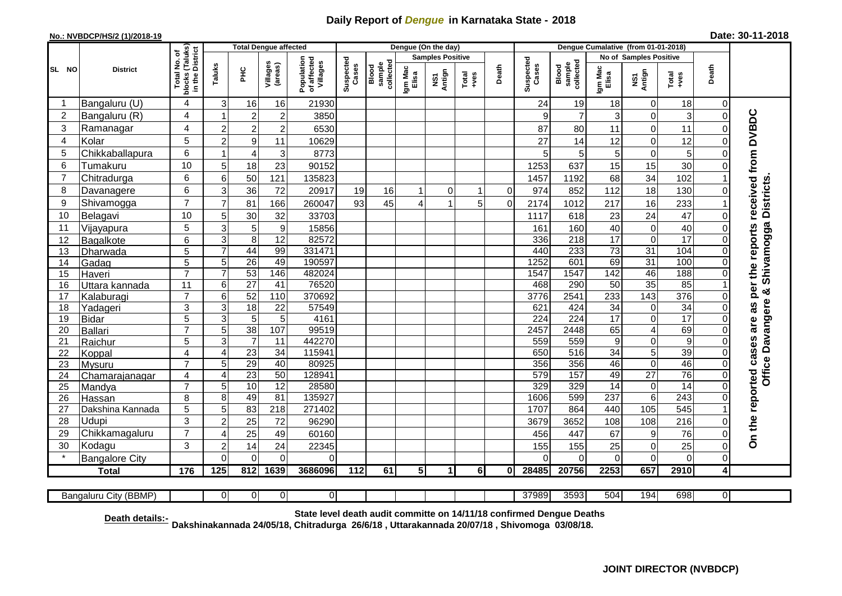## **Daily Report of** *Dengue* **in Karnataka State - 2018**

## **No.: NVBDCP/HS/2 (1)/2018-19 Date: 30-11-2018**

|                |                          |                                                 | <b>Total Dengue affected</b> |                 |                     |                                       |                    |                              |                  | Dengue (On the day)     |                |             |                    |                              |                        |                                   |                 |                         |                                            |
|----------------|--------------------------|-------------------------------------------------|------------------------------|-----------------|---------------------|---------------------------------------|--------------------|------------------------------|------------------|-------------------------|----------------|-------------|--------------------|------------------------------|------------------------|-----------------------------------|-----------------|-------------------------|--------------------------------------------|
|                |                          | ծ                                               |                              |                 |                     |                                       |                    |                              |                  | <b>Samples Positive</b> |                |             |                    |                              | No of Samples Positive |                                   |                 |                         |                                            |
| SL NO          | <b>District</b>          | blocks (Taluks)<br>in the District<br>Total No. | Taluks                       | 꾿               | Villages<br>(areas) | Population<br>of affected<br>Villages | Suspected<br>Cases | sample<br>collected<br>Blood | Igm Mac<br>Elisa | NS1<br>Antign           | Total<br>+ves  | Death       | Suspected<br>Cases | collected<br>sample<br>Blood | Igm Mac<br>Elisa       | NS1<br>Antign                     | Total<br>+ves   | Death                   |                                            |
|                | Bangaluru (U)            | 4                                               | 3                            | 16              | 16                  | 21930                                 |                    |                              |                  |                         |                |             | 24                 | 19                           | 18                     | 0                                 | 18              | 0                       |                                            |
| 2              | Bangaluru (R)            | 4                                               |                              | $\overline{c}$  | $\overline{c}$      | 3850                                  |                    |                              |                  |                         |                |             | 9                  | $\overline{7}$               | 3                      | 0                                 | 3               | $\Omega$                |                                            |
| 3              | Ramanagar                | 4                                               | $\overline{2}$               | $\overline{c}$  | $\overline{c}$      | 6530                                  |                    |                              |                  |                         |                |             | 87                 | 80                           | 11                     | 0                                 | 11              | $\Omega$                | are as per the reports received from DVBDC |
| $\overline{4}$ | Kolar                    | 5                                               | $\overline{2}$               | 9               | 11                  | 10629                                 |                    |                              |                  |                         |                |             | 27                 | 14                           | 12                     | 0                                 | 12              | $\Omega$                |                                            |
| 5              | Chikkaballapura          | 6                                               |                              | $\overline{4}$  | 3                   | 8773                                  |                    |                              |                  |                         |                |             | 5                  | 5                            | 5                      | 0                                 | 5               | $\Omega$                |                                            |
| 6              | Tumakuru                 | 10                                              | 5                            | 18              | 23                  | 90152                                 |                    |                              |                  |                         |                |             | 1253               | 637                          | 15                     | 15                                | 30              | $\Omega$                |                                            |
| $\overline{7}$ | Chitradurga              | 6                                               | 6                            | 50              | 121                 | 135823                                |                    |                              |                  |                         |                |             | 1457               | 1192                         | 68                     | 34                                | 102             |                         |                                            |
| 8              | Davanagere               | 6                                               | 3                            | 36              | 72                  | 20917                                 | 19                 | 16                           | -1               | 0                       | $\mathbf{1}$   | $\mathbf 0$ | 974                | 852                          | 112                    | 18                                | 130             | $\mathbf 0$             |                                            |
| 9              | Shivamogga               | $\overline{7}$                                  | $\overline{7}$               | 81              | 166                 | 260047                                | 93                 | 45                           | 4                | $\overline{ }$          | 5              | $\mathbf 0$ | 2174               | 1012                         | 217                    | 16                                | 233             |                         | Shivamogga Districts                       |
| 10             | Belagavi                 | 10                                              | 5                            | 30              | 32                  | 33703                                 |                    |                              |                  |                         |                |             | 1117               | 618                          | 23                     | 24                                | 47              | $\Omega$                |                                            |
| 11             | Vijayapura               | 5                                               | 3                            | 5               | 9                   | 15856                                 |                    |                              |                  |                         |                |             | 161                | 160                          | 40                     | 0                                 | 40              | C                       |                                            |
| 12             | Bagalkote                | 6                                               | 3                            | 8               | $\overline{12}$     | 82572                                 |                    |                              |                  |                         |                |             | 336                | 218                          | $\overline{17}$        | 0                                 | $\overline{17}$ | $\Omega$                |                                            |
| 13             | Dharwada                 | $\overline{5}$                                  | $\overline{7}$               | 44              | 99                  | 331471                                |                    |                              |                  |                         |                |             | 440                | 233                          | $\overline{73}$        | $\overline{31}$                   | 104             | $\Omega$                |                                            |
| 14             | Gadag                    | 5                                               | 5                            | 26              | 49                  | 190597                                |                    |                              |                  |                         |                |             | 1252               | 601                          | 69                     | $\overline{31}$                   | 100             | $\mathbf 0$             |                                            |
| 15             | Haveri                   | $\overline{7}$                                  | $\overline{7}$               | 53              | 146                 | 482024                                |                    |                              |                  |                         |                |             | 1547               | 1547                         | 142                    | 46                                | 188             | $\Omega$                |                                            |
| 16             | Uttara kannada           | 11                                              | 6                            | $\overline{27}$ | 41                  | 76520                                 |                    |                              |                  |                         |                |             | 468                | 290                          | 50                     | 35                                | 85              |                         | න්                                         |
| 17             | Kalaburagi               | $\overline{7}$                                  | 6                            | 52              | 110                 | 370692                                |                    |                              |                  |                         |                |             | 3776               | 2541                         | 233                    | $\frac{143}{143}$                 | 376             | $\Omega$                |                                            |
| 18             | Yadageri                 | 3                                               | $\overline{3}$               | 18              | $\overline{22}$     | 57549                                 |                    |                              |                  |                         |                |             | 621                | 424                          | 34                     | 0                                 | 34              | $\Omega$                |                                            |
| 19             | Bidar                    | $\overline{5}$                                  | $\overline{3}$               | $\overline{5}$  | $\overline{5}$      | 4161                                  |                    |                              |                  |                         |                |             | 224                | 224                          | 17                     | 0                                 | $\overline{17}$ |                         |                                            |
| 20             | Ballari                  | $\overline{7}$                                  | $\overline{5}$               | 38              | 107                 | 99519                                 |                    |                              |                  |                         |                |             | 2457               | 2448                         | 65                     | 4                                 | 69              | $\Omega$                | Davangere                                  |
| 21             | Raichur                  | 5                                               | 3                            | $\overline{7}$  | 11                  | 442270                                |                    |                              |                  |                         |                |             | 559                | 559                          | 9                      | 0                                 | 9               | $\Omega$                |                                            |
| 22             | Koppal                   | $\overline{4}$<br>$\overline{7}$                | $\overline{4}$               | 23              | $\overline{34}$     | 115941                                |                    |                              |                  |                         |                |             | 650                | 516                          | 34                     | 5                                 | 39              | $\Omega$                |                                            |
| 23<br>24       | Mysuru                   | 4                                               | 5<br>$\overline{4}$          | 29<br>23        | 40<br>50            | 80925<br>128941                       |                    |                              |                  |                         |                |             | 356<br>579         | 356<br>157                   | 46<br>49               | $\overline{0}$<br>$\overline{27}$ | 46<br>76        | $\Omega$<br>$\Omega$    | <b>Office</b>                              |
| 25             | Chamarajanagar<br>Mandya | $\overline{7}$                                  | 5                            | 10              | $\overline{12}$     | 28580                                 |                    |                              |                  |                         |                |             | 329                | 329                          | 14                     | 0                                 | 14              | $\mathbf 0$             |                                            |
| 26             | Hassan                   | 8                                               | 8                            | 49              | 81                  | 135927                                |                    |                              |                  |                         |                |             | 1606               | 599                          | 237                    | $6\phantom{1}$                    | 243             | $\Omega$                |                                            |
| 27             | Dakshina Kannada         | 5                                               | 5                            | 83              | 218                 | 271402                                |                    |                              |                  |                         |                |             | 1707               | 864                          | 440                    | $\frac{105}{105}$                 | 545             |                         |                                            |
| 28             | Udupi                    | 3                                               | $\overline{2}$               | 25              | 72                  | 96290                                 |                    |                              |                  |                         |                |             | 3679               | 3652                         | 108                    | 108                               | 216             | 0                       |                                            |
| 29             | Chikkamagaluru           | $\overline{7}$                                  | $\overline{4}$               | 25              | 49                  | 60160                                 |                    |                              |                  |                         |                |             | 456                | 447                          | 67                     | 9                                 | 76              | 0                       | On the reported cases                      |
| 30             | Kodagu                   | 3                                               | $\overline{2}$               | 14              | 24                  | 22345                                 |                    |                              |                  |                         |                |             | 155                | 155                          | 25                     | 0                                 | 25              | $\mathbf 0$             |                                            |
|                | <b>Bangalore City</b>    |                                                 | $\mathbf{0}$                 | $\overline{0}$  | 0                   | 0                                     |                    |                              |                  |                         |                |             | $\Omega$           | $\Omega$                     | $\mathbf 0$            | 0                                 | 0               | $\mathbf 0$             |                                            |
|                | <b>Total</b>             | 176                                             | 125                          | 812             | 1639                | 3686096                               | 112                | 61                           | 5 <sub>l</sub>   | 1                       | 6 <sup>1</sup> | ΟI          | 28485              | 20756                        | 2253                   | 657                               | 2910            | $\overline{\mathbf{4}}$ |                                            |
|                |                          |                                                 |                              |                 |                     |                                       |                    |                              |                  |                         |                |             |                    |                              |                        |                                   |                 |                         |                                            |
|                | Bangaluru City (BBMP)    |                                                 | $\overline{0}$               | $\overline{0}$  | 0                   | $\overline{0}$                        |                    |                              |                  |                         |                |             | 37989              | 3593                         | 504                    | 194                               | 698             | $\overline{0}$          |                                            |

**Dakshinakannada 24/05/18, Chitradurga 26/6/18 , Uttarakannada 20/07/18 , Shivomoga 03/08/18. State level death audit committe on 14/11/18 confirmed Dengue Deaths Death details:-**